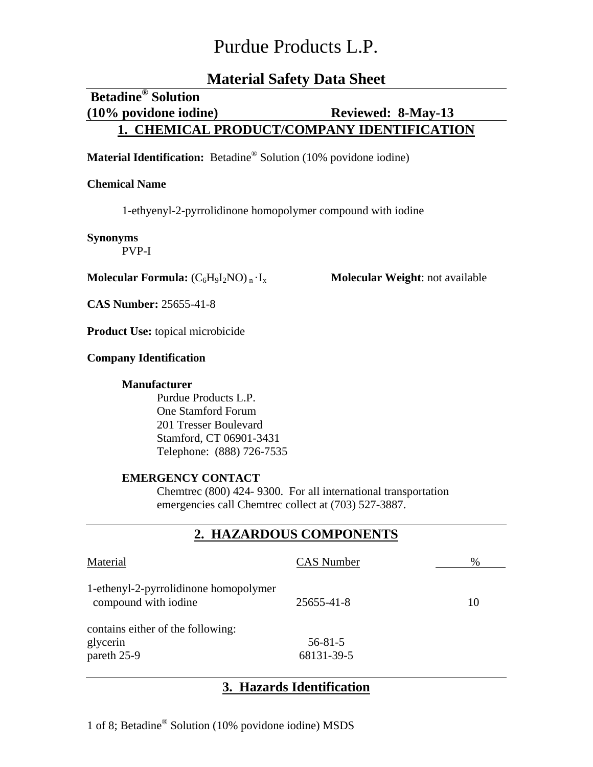# **Material Safety Data Sheet**

# **Betadine® Solution (10% povidone iodine) Reviewed: 8-May-13 1. CHEMICAL PRODUCT/COMPANY IDENTIFICATION**

# **Material Identification:** Betadine® Solution (10% povidone iodine)

### **Chemical Name**

1-ethyenyl-2-pyrrolidinone homopolymer compound with iodine

#### **Synonyms**

PVP-I

**Molecular Formula:**  $(C_6H_9I_2NO)_n \cdot I_x$  **Molecular Weight**: not available

**CAS Number:** 25655-41-8

**Product Use:** topical microbicide

### **Company Identification**

## **Manufacturer**

Purdue Products L.P. One Stamford Forum 201 Tresser Boulevard Stamford, CT 06901-3431 Telephone: (888) 726-7535

### **EMERGENCY CONTACT**

Chemtrec (800) 424- 9300. For all international transportation emergencies call Chemtrec collect at (703) 527-3887.

## **2. HAZARDOUS COMPONENTS**

| Material                                                      | <b>CAS</b> Number           | %  |
|---------------------------------------------------------------|-----------------------------|----|
| 1-ethenyl-2-pyrrolidinone homopolymer<br>compound with iodine | 25655-41-8                  | 10 |
| contains either of the following:<br>glycerin<br>pareth 25-9  | $56 - 81 - 5$<br>68131-39-5 |    |

# **3. Hazards Identification**

1 of 8; Betadine® Solution (10% povidone iodine) MSDS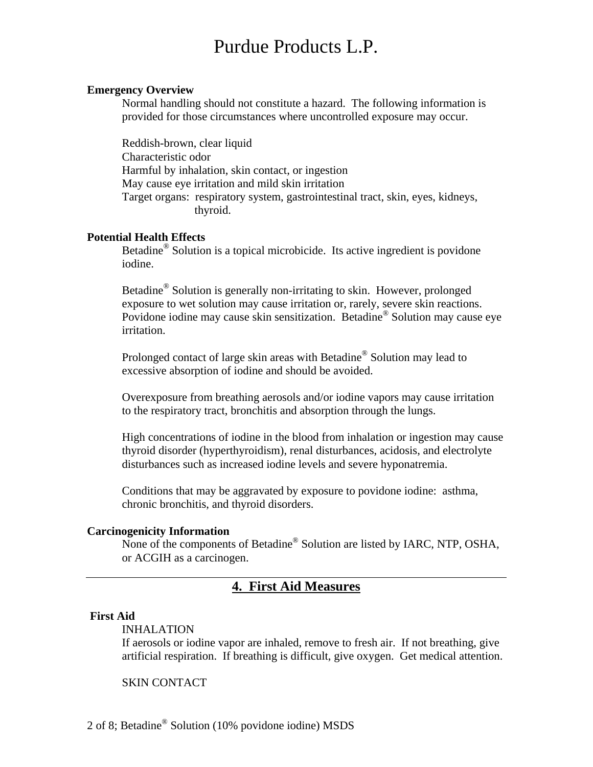#### **Emergency Overview**

Normal handling should not constitute a hazard. The following information is provided for those circumstances where uncontrolled exposure may occur.

Reddish-brown, clear liquid Characteristic odor Harmful by inhalation, skin contact, or ingestion May cause eye irritation and mild skin irritation Target organs: respiratory system, gastrointestinal tract, skin, eyes, kidneys, thyroid.

#### **Potential Health Effects**

Betadine® Solution is a topical microbicide. Its active ingredient is povidone iodine.

Betadine® Solution is generally non-irritating to skin. However, prolonged exposure to wet solution may cause irritation or, rarely, severe skin reactions. Povidone iodine may cause skin sensitization. Betadine® Solution may cause eye irritation.

Prolonged contact of large skin areas with Betadine® Solution may lead to excessive absorption of iodine and should be avoided.

Overexposure from breathing aerosols and/or iodine vapors may cause irritation to the respiratory tract, bronchitis and absorption through the lungs.

High concentrations of iodine in the blood from inhalation or ingestion may cause thyroid disorder (hyperthyroidism), renal disturbances, acidosis, and electrolyte disturbances such as increased iodine levels and severe hyponatremia.

 Conditions that may be aggravated by exposure to povidone iodine: asthma, chronic bronchitis, and thyroid disorders.

#### **Carcinogenicity Information**

None of the components of Betadine® Solution are listed by IARC, NTP, OSHA, or ACGIH as a carcinogen.

# **4. First Aid Measures**

#### **First Aid**

#### INHALATION

If aerosols or iodine vapor are inhaled, remove to fresh air. If not breathing, give artificial respiration. If breathing is difficult, give oxygen. Get medical attention.

### SKIN CONTACT

2 of 8; Betadine® Solution (10% povidone iodine) MSDS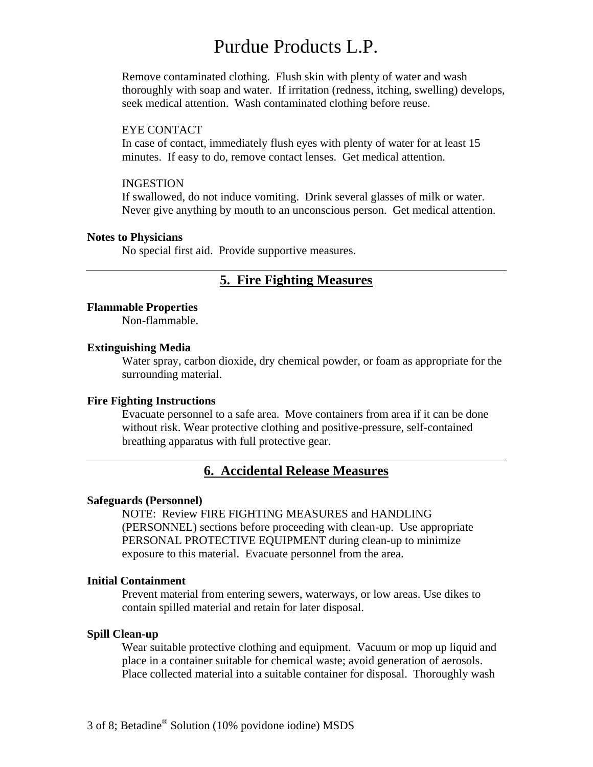Remove contaminated clothing. Flush skin with plenty of water and wash thoroughly with soap and water. If irritation (redness, itching, swelling) develops, seek medical attention. Wash contaminated clothing before reuse.

#### EYE CONTACT

In case of contact, immediately flush eyes with plenty of water for at least 15 minutes. If easy to do, remove contact lenses. Get medical attention.

#### INGESTION

If swallowed, do not induce vomiting. Drink several glasses of milk or water. Never give anything by mouth to an unconscious person. Get medical attention.

#### **Notes to Physicians**

No special first aid. Provide supportive measures.

## **5. Fire Fighting Measures**

#### **Flammable Properties**

Non-flammable.

#### **Extinguishing Media**

Water spray, carbon dioxide, dry chemical powder, or foam as appropriate for the surrounding material.

#### **Fire Fighting Instructions**

Evacuate personnel to a safe area. Move containers from area if it can be done without risk. Wear protective clothing and positive-pressure, self-contained breathing apparatus with full protective gear.

## **6. Accidental Release Measures**

#### **Safeguards (Personnel)**

NOTE: Review FIRE FIGHTING MEASURES and HANDLING (PERSONNEL) sections before proceeding with clean-up. Use appropriate PERSONAL PROTECTIVE EQUIPMENT during clean-up to minimize exposure to this material. Evacuate personnel from the area.

### **Initial Containment**

Prevent material from entering sewers, waterways, or low areas. Use dikes to contain spilled material and retain for later disposal.

#### **Spill Clean-up**

Wear suitable protective clothing and equipment. Vacuum or mop up liquid and place in a container suitable for chemical waste; avoid generation of aerosols. Place collected material into a suitable container for disposal. Thoroughly wash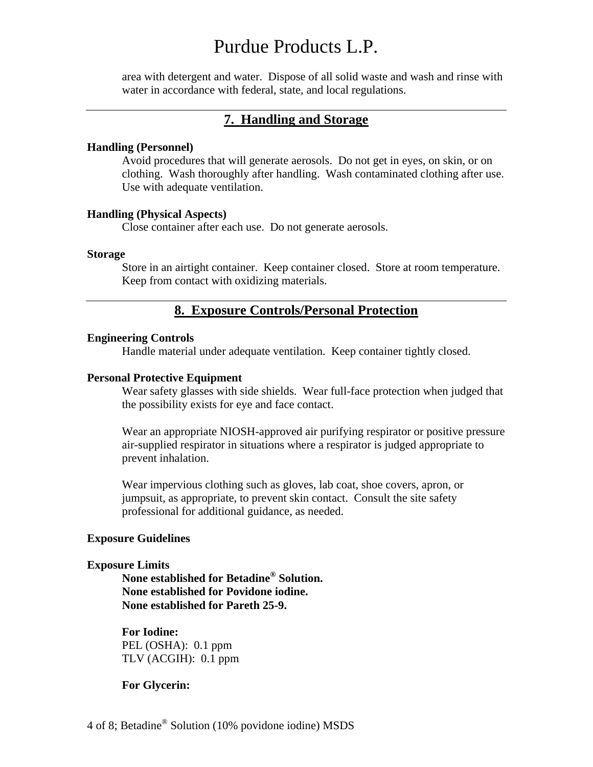area with detergent and water. Dispose of all solid waste and wash and rinse with water in accordance with federal, state, and local regulations.

## **7. Handling and Storage**

#### **Handling (Personnel)**

Avoid procedures that will generate aerosols. Do not get in eyes, on skin, or on clothing. Wash thoroughly after handling. Wash contaminated clothing after use. Use with adequate ventilation.

#### **Handling (Physical Aspects)**

Close container after each use. Do not generate aerosols.

#### **Storage**

Store in an airtight container. Keep container closed. Store at room temperature. Keep from contact with oxidizing materials.

## **8. Exposure Controls/Personal Protection**

#### **Engineering Controls**

Handle material under adequate ventilation. Keep container tightly closed.

#### **Personal Protective Equipment**

Wear safety glasses with side shields. Wear full-face protection when judged that the possibility exists for eye and face contact.

Wear an appropriate NIOSH-approved air purifying respirator or positive pressure air-supplied respirator in situations where a respirator is judged appropriate to prevent inhalation.

Wear impervious clothing such as gloves, lab coat, shoe covers, apron, or jumpsuit, as appropriate, to prevent skin contact. Consult the site safety professional for additional guidance, as needed.

#### **Exposure Guidelines**

#### **Exposure Limits**

**None established for Betadine® Solution. None established for Povidone iodine. None established for Pareth 25-9.**

 **For Iodine:**  PEL (OSHA): 0.1 ppm TLV (ACGIH): 0.1 ppm

**For Glycerin:**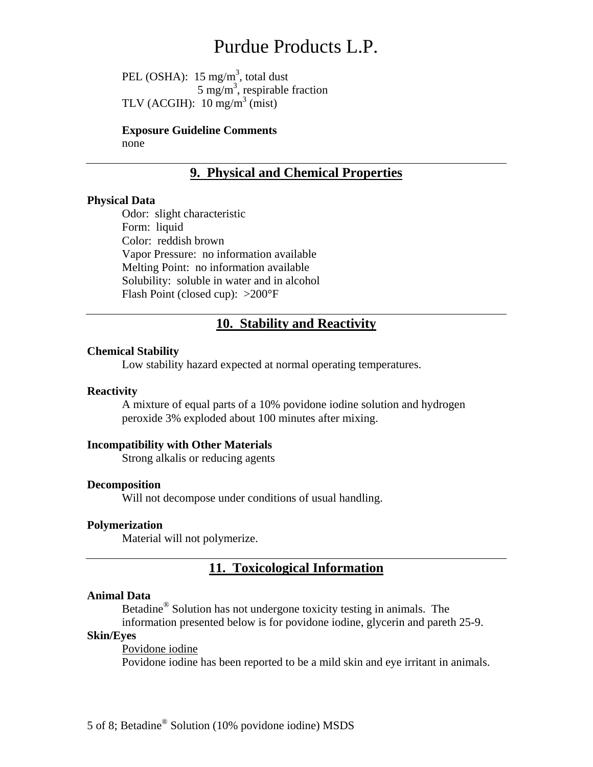PEL (OSHA):  $15 \text{ mg/m}^3$ , total dust  $5 \text{ mg/m}^3$ , respirable fraction TLV (ACGIH):  $10 \text{ mg/m}^3$  (mist)

> **Exposure Guideline Comments**  none

# **9. Physical and Chemical Properties**

#### **Physical Data**

Odor: slight characteristic Form: liquid Color: reddish brown Vapor Pressure: no information available Melting Point: no information available Solubility: soluble in water and in alcohol Flash Point (closed cup): >200°F

## **10. Stability and Reactivity**

#### **Chemical Stability**

Low stability hazard expected at normal operating temperatures.

#### **Reactivity**

A mixture of equal parts of a 10% povidone iodine solution and hydrogen peroxide 3% exploded about 100 minutes after mixing.

#### **Incompatibility with Other Materials**

Strong alkalis or reducing agents

#### **Decomposition**

Will not decompose under conditions of usual handling.

#### **Polymerization**

Material will not polymerize.

## **11. Toxicological Information**

#### **Animal Data**

Betadine® Solution has not undergone toxicity testing in animals. The

information presented below is for povidone iodine, glycerin and pareth 25-9.

# **Skin/Eyes**

 Povidone iodine Povidone iodine has been reported to be a mild skin and eye irritant in animals.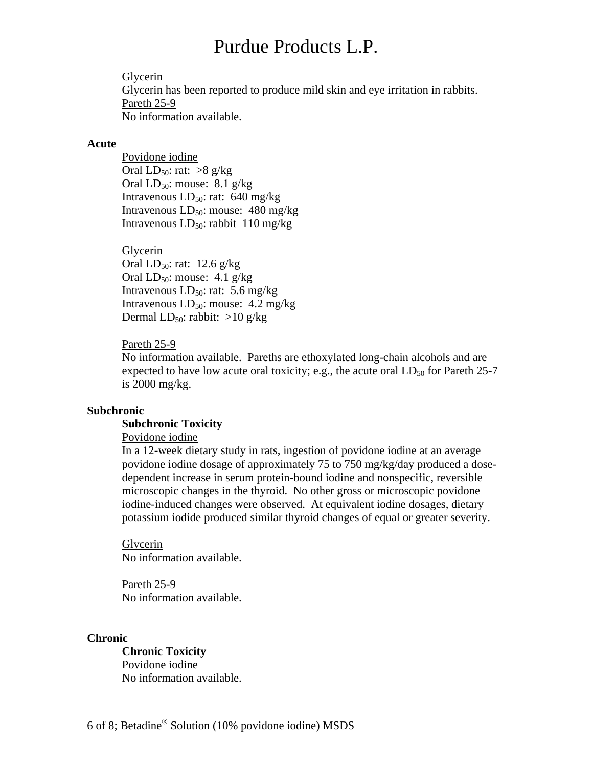Glycerin Glycerin has been reported to produce mild skin and eye irritation in rabbits. Pareth 25-9 No information available.

#### **Acute**

Povidone iodine Oral LD<sub>50</sub>: rat:  $>8$  g/kg Oral  $LD_{50}$ : mouse: 8.1 g/kg Intravenous  $LD_{50}$ : rat: 640 mg/kg Intravenous  $LD_{50}$ : mouse: 480 mg/kg Intravenous  $LD_{50}$ : rabbit 110 mg/kg

## Glycerin

Oral  $LD_{50}$ : rat: 12.6 g/kg Oral  $LD_{50}$ : mouse: 4.1 g/kg Intravenous  $LD_{50}$ : rat: 5.6 mg/kg Intravenous  $LD_{50}$ : mouse: 4.2 mg/kg Dermal  $LD_{50}$ : rabbit: >10 g/kg

#### Pareth 25-9

No information available. Pareths are ethoxylated long-chain alcohols and are expected to have low acute oral toxicity; e.g., the acute oral  $LD_{50}$  for Pareth 25-7 is 2000 mg/kg.

#### **Subchronic**

#### **Subchronic Toxicity**

Povidone iodine

In a 12-week dietary study in rats, ingestion of povidone iodine at an average povidone iodine dosage of approximately 75 to 750 mg/kg/day produced a dosedependent increase in serum protein-bound iodine and nonspecific, reversible microscopic changes in the thyroid. No other gross or microscopic povidone iodine-induced changes were observed. At equivalent iodine dosages, dietary potassium iodide produced similar thyroid changes of equal or greater severity.

Glycerin No information available.

Pareth 25-9 No information available.

#### **Chronic**

**Chronic Toxicity**  Povidone iodine No information available.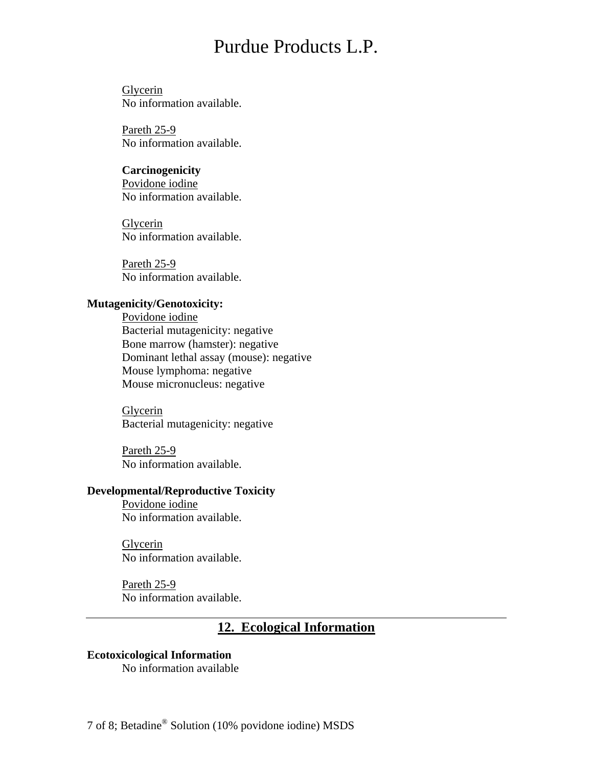Glycerin No information available.

Pareth 25-9 No information available.

**Carcinogenicity**  Povidone iodine No information available.

Glycerin No information available.

Pareth 25-9 No information available.

## **Mutagenicity/Genotoxicity:**

 Povidone iodine Bacterial mutagenicity: negative Bone marrow (hamster): negative Dominant lethal assay (mouse): negative Mouse lymphoma: negative Mouse micronucleus: negative

Glycerin Bacterial mutagenicity: negative

Pareth 25-9 No information available.

### **Developmental/Reproductive Toxicity**

 Povidone iodine No information available.

Glycerin No information available.

Pareth 25-9 No information available.

# **12. Ecological Information**

## **Ecotoxicological Information**

No information available